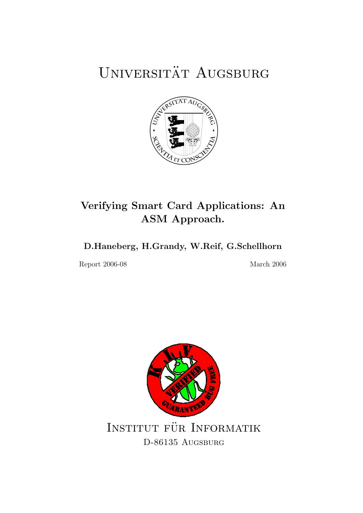# UNIVERSITÄT AUGSBURG



## Verifying Smart Card Applications: An ASM Approach.

## D.Haneberg, H.Grandy, W.Reif, G.Schellhorn

Report 2006-08 March 2006

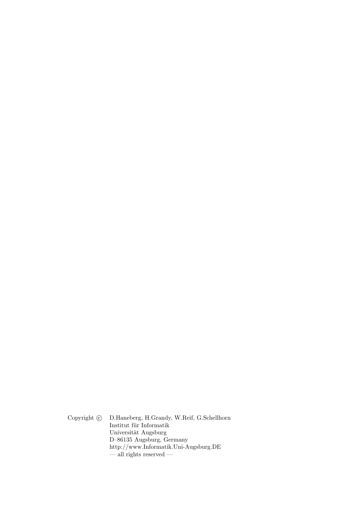Copyright  $\odot$  D.Haneberg, H.Grandy, W.Reif, G.Schellhorn Institut für Informatik Universität Augsburg D–86135 Augsburg, Germany http://www.Informatik.Uni-Augsburg.DE — all rights reserved —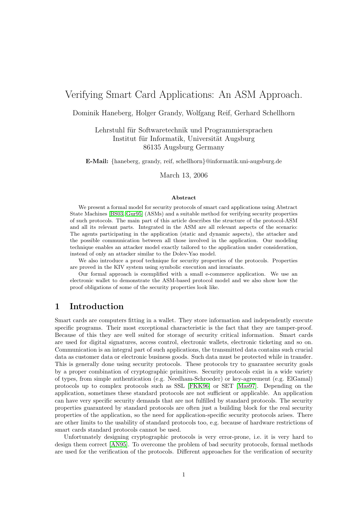## Verifying Smart Card Applications: An ASM Approach.

Dominik Haneberg, Holger Grandy, Wolfgang Reif, Gerhard Schellhorn

Lehrstuhl für Softwaretechnik und Programmiersprachen Institut für Informatik, Universität Augsburg 86135 Augsburg Germany

E-Mail: {haneberg, grandy, reif, schellhorn}@informatik.uni-augsburg.de

March 13, 2006

#### Abstract

We present a formal model for security protocols of smart card applications using Abstract State Machines [\[BS03,](#page-20-0) [Gur95\]](#page-21-0) (ASMs) and a suitable method for verifying security properties of such protocols. The main part of this article describes the structure of the protocol-ASM and all its relevant parts. Integrated in the ASM are all relevant aspects of the scenario: The agents participating in the application (static and dynamic aspects), the attacker and the possible communication between all those involved in the application. Our modeling technique enables an attacker model exactly tailored to the application under consideration, instead of only an attacker similar to the Dolev-Yao model.

We also introduce a proof technique for security properties of the protocols. Properties are proved in the KIV system using symbolic execution and invariants.

Our formal approach is exemplified with a small e-commerce application. We use an electronic wallet to demonstrate the ASM-based protocol model and we also show how the proof obligations of some of the security properties look like.

## 1 Introduction

Smart cards are computers fitting in a wallet. They store information and independently execute specific programs. Their most exceptional characteristic is the fact that they are tamper-proof. Because of this they are well suited for storage of security critical information. Smart cards are used for digital signatures, access control, electronic wallets, electronic ticketing and so on. Communication is an integral part of such applications, the transmitted data contains such crucial data as customer data or electronic business goods. Such data must be protected while in transfer. This is generally done using security protocols. These protocols try to guarantee security goals by a proper combination of cryptographic primitives. Security protocols exist in a wide variety of types, from simple authentication (e.g. Needham-Schroeder) or key-agreement (e.g. ElGamal) protocols up to complex protocols such as SSL [\[FKK96\]](#page-21-1) or SET [\[Mas97\]](#page-21-2). Depending on the application, sometimes these standard protocols are not sufficient or applicable. An application can have very specific security demands that are not fulfilled by standard protocols. The security properties guaranteed by standard protocols are often just a building block for the real security properties of the application, so the need for application-specific security protocols arises. There are other limits to the usability of standard protocols too, e.g. because of hardware restrictions of smart cards standard protocols cannot be used.

Unfortunately designing cryptographic protocols is very error-prone, i.e. it is very hard to design them correct [\[AN95\]](#page-20-1). To overcome the problem of bad security protocols, formal methods are used for the verification of the protocols. Different approaches for the verification of security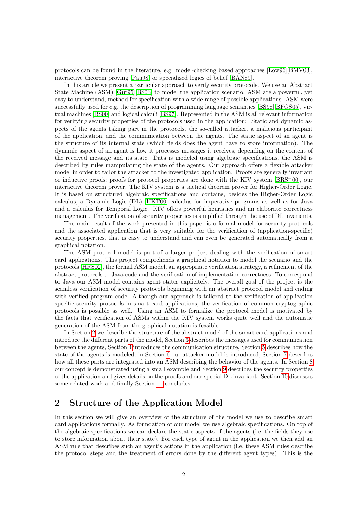protocols can be found in the literature, e.g. model-checking based approaches [\[Low96\]](#page-21-3)[\[BMV03\]](#page-20-2), interactive theorem proving [\[Pau98\]](#page-21-4) or specialized logics of belief [\[BAN89\]](#page-20-3).

In this article we present a particular approach to verify security protocols. We use an Abstract State Machine (ASM) [\[Gur95\]](#page-21-0)[\[BS03\]](#page-20-0) to model the application scenario. ASM are a powerful, yet easy to understand, method for specification with a wide range of possible applications. ASM were successfully used for e.g. the description of programming language semantics [\[BS98\]](#page-20-4)[\[BFGS05\]](#page-20-5), virtual machines [\[BS00\]](#page-20-6) and logical calculi [\[BS97\]](#page-20-7). Represented in the ASM is all relevant information for verifying security properties of the protocols used in the application: Static and dynamic aspects of the agents taking part in the protocols, the so-called attacker, a malicious participant of the application, and the communication between the agents. The static aspect of an agent is the structure of its internal state (which fields does the agent have to store information). The dynamic aspect of an agent is how it processes messages it receives, depending on the content of the received message and its state. Data is modeled using algebraic specifications, the ASM is described by rules manipulating the state of the agents. Our approach offers a flexible attacker model in order to tailor the attacker to the investigated application. Proofs are generally invariant or inductive proofs; proofs for protocol properties are done with the KIV system  $[BRS^+00]$  $[BRS^+00]$ , our interactive theorem prover. The KIV system is a tactical theorem prover for Higher-Order Logic. It is based on structured algebraic specifications and contains, besides the Higher-Order Logic calculus, a Dynamic Logic (DL) [\[HKT00\]](#page-21-5) calculus for imperative programs as well as for Java and a calculus for Temporal Logic. KIV offers powerful heuristics and an elaborate correctness management. The verification of security properties is simplified through the use of DL invariants.

The main result of the work presented in this paper is a formal model for security protocols and the associated application that is very suitable for the verification of (application-specific) security properties, that is easy to understand and can even be generated automatically from a graphical notation.

The ASM protocol model is part of a larger project dealing with the verification of smart card applications. This project comprehends a graphical notation to model the scenario and the protocols [\[HRS02\]](#page-21-6), the formal ASM model, an appropriate verification strategy, a refinement of the abstract protocols to Java code and the verification of implementation correctness. To correspond to Java our ASM model contains agent states explicitely. The overall goal of the project is the seamless verification of security protocols beginning with an abstract protocol model and ending with verified program code. Although our approach is tailored to the verification of application specific security protocols in smart card applications, the verification of common cryptographic protocols is possible as well. Using an ASM to formalize the protocol model is motivated by the facts that verification of ASMs within the KIV system works quite well and the automatic generation of the ASM from the graphical notation is feasible.

In Section [2](#page-3-0) we describe the structure of the abstract model of the smart card applications and introduce the different parts of the model, Section [3](#page-4-0) describes the messages used for communication between the agents, Section [4](#page-5-0) introduces the communication structure, Section [5](#page-6-0) describes how the state of the agents is modeled, in Section [6](#page-7-0) our attacker model is introduced, Section [7](#page-9-0) describes how all these parts are integrated into an ASM describing the behavior of the agents. In Section [8](#page-12-0) our concept is demonstrated using a small example and Section [9](#page-15-0) describes the security properties of the application and gives details on the proofs and our special DL invariant. Section [10](#page-18-0) discusses some related work and finally Section [11](#page-19-0) concludes.

## <span id="page-3-0"></span>2 Structure of the Application Model

In this section we will give an overview of the structure of the model we use to describe smart card applications formally. As foundation of our model we use algebraic specifications. On top of the algebraic specifications we can declare the static aspects of the agents (i.e. the fields they use to store information about their state). For each type of agent in the application we then add an ASM rule that describes such an agent's actions in the application (i.e. these ASM rules describe the protocol steps and the treatment of errors done by the different agent types). This is the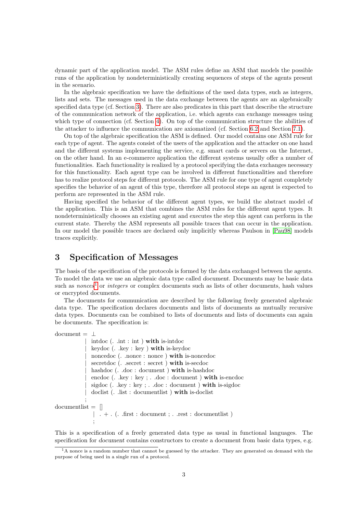dynamic part of the application model. The ASM rules define an ASM that models the possible runs of the application by nondeterministically creating sequences of steps of the agents present in the scenario.

In the algebraic specification we have the definitions of the used data types, such as integers, lists and sets. The messages used in the data exchange between the agents are an algebraically specified data type (cf. Section [3\)](#page-4-0). There are also predicates in this part that describe the structure of the communication network of the application, i.e. which agents can exchange messages using which type of connection (cf. Section [4\)](#page-5-0). On top of the communication structure the abilities of the attacker to influence the communication are axiomatized (cf. Section [6.2](#page-9-1) and Section [7.1\)](#page-10-0).

On top of the algebraic specification the ASM is defined. Our model contains one ASM rule for each type of agent. The agents consist of the users of the application and the attacker on one hand and the different systems implementing the service, e.g. smart cards or servers on the Internet, on the other hand. In an e-commerce application the different systems usually offer a number of functionalities. Each functionality is realized by a protocol specifying the data exchanges necessary for this functionality. Each agent type can be involved in different functionalities and therefore has to realize protocol steps for different protocols. The ASM rule for one type of agent completely specifies the behavior of an agent of this type, therefore all protocol steps an agent is expected to perform are represented in the ASM rule.

Having specified the behavior of the different agent types, we build the abstract model of the application. This is an ASM that combines the ASM rules for the different agent types. It nondeterministically chooses an existing agent and executes the step this agent can perform in the current state. Thereby the ASM represents all possible traces that can occur in the application. In our model the possible traces are declared only implicitly whereas Paulson in [\[Pau98\]](#page-21-4) models traces explicitly.

## <span id="page-4-0"></span>3 Specification of Messages

The basis of the specification of the protocols is formed by the data exchanged between the agents. To model the data we use an algebraic data type called document. Documents may be basic data such as *nonces*<sup>[1](#page-4-1)</sup> or *integers* or complex documents such as lists of other documents, hash values or encrypted documents.

The documents for communication are described by the following freely generated algebraic data type. The specification declares documents and lists of documents as mutually recursive data types. Documents can be combined to lists of documents and lists of documents can again be documents. The specification is:

```
document = 1| intdoc (. .int : int ) with is-intdoc
              keydoc (. .key : key ) with is-keydoc
             noncedoc (. .nonce : nonce ) with is-noncedoc
             \sec (. .secret : \sec ) with <code>is-secdoc</code>
             hashdoc (. .doc : document ) with is-hashdoc
              encdoc (. .key : key ; . .doc : document ) with is-encdoc
              sigdoc (. .key : key ; . .doc : document ) with is-sigdoc
              doclist (. .list : documentlist ) with is-doclist
            ;
documentlist = []\lceil . + . (. .first : document ; . .rest : documentlist )
               ;
```
This is a specification of a freely generated data type as usual in functional languages. The specification for *document* contains constructors to create a document from basic data types, e.g.

<span id="page-4-1"></span> $1A$  nonce is a random number that cannot be guessed by the attacker. They are generated on demand with the purpose of being used in a single run of a protocol.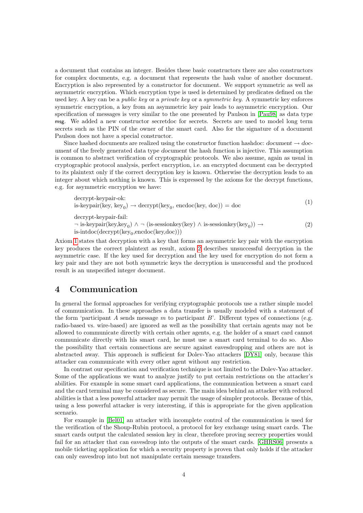a document that contains an integer. Besides these basic constructors there are also constructors for complex documents, e.g. a document that represents the hash value of another document. Encryption is also represented by a constructor for document. We support symmetric as well as asymmetric encryption. Which encryption type is used is determined by predicates defined on the used key. A key can be a public key or a private key or a symmetric key. A symmetric key enforces symmetric encryption, a key from an asymmetric key pair leads to asymmetric encryption. Our specification of messages is very similar to the one presented by Paulson in [\[Pau98\]](#page-21-4) as data type msg. We added a new constructor secretdoc for secrets. Secrets are used to model long term secrets such as the PIN of the owner of the smart card. Also for the signature of a document Paulson does not have a special constructor.

Since hashed documents are realized using the constructor function hashdoc: document  $\rightarrow$  document of the freely generated data type document the hash function is injective. This assumption is common to abstract verification of cryptographic protocols. We also assume, again as usual in cryptographic protocol analysis, perfect encryption, i.e. an encrypted document can be decrypted to its plaintext only if the correct decryption key is known. Otherwise the decryption leads to an integer about which nothing is known. This is expressed by the axioms for the decrypt functions, e.g. for asymmetric encryption we have:

<span id="page-5-2"></span><span id="page-5-1"></span>
$$
decrypt-key pair-ok:\nis-keypair(key, key0) \rightarrow decrypt(key0, encode(key, doc)) = doc\ndecrypt-key pair-fail:\n¬ is-keypair(key, key0) ∧ ¬ (is-sessionkey(key) ∧ is-sessionkey(key0)) →\nis-intdoc(decrypt(key0,encodec(key,doc)))
$$
\n(2)

Axiom [1](#page-5-1) states that decryption with a key that forms an asymmetric key pair with the encryption key produces the correct plaintext as result, axiom [2](#page-5-2) describes unsuccessful decryption in the asymmetric case. If the key used for decryption and the key used for encryption do not form a key pair and they are not both symmetric keys the decryption is unsuccessful and the produced result is an unspecified integer document.

## <span id="page-5-0"></span>4 Communication

In general the formal approaches for verifying cryptographic protocols use a rather simple model of communication. In these approaches a data transfer is usually modeled with a statement of the form 'participant A sends message m to participant B'. Different types of connections (e.g. radio-based vs. wire-based) are ignored as well as the possibility that certain agents may not be allowed to communicate directly with certain other agents, e.g. the holder of a smart card cannot communicate directly with his smart card, he must use a smart card terminal to do so. Also the possibility that certain connections are secure against eavesdropping and others are not is abstracted away. This approach is sufficient for Dolev-Yao attackers [\[DY81\]](#page-20-9) only, because this attacker can communicate with every other agent without any restriction.

In contrast our specification and verification technique is not limited to the Dolev-Yao attacker. Some of the applications we want to analyze justify to put certain restrictions on the attacker's abilities. For example in some smart card applications, the communication between a smart card and the card terminal may be considered as secure. The main idea behind an attacker with reduced abilities is that a less powerful attacker may permit the usage of simpler protocols. Because of this, using a less powerful attacker is very interesting, if this is appropriate for the given application scenario.

For example in [\[Bel01\]](#page-20-10) an attacker with incomplete control of the communication is used for the verification of the Shoup-Rubin protocol, a protocol for key exchange using smart cards. The smart cards output the calculated session key in clear, therefore proving secrecy properties would fail for an attacker that can eavesdrop into the outputs of the smart cards. [\[GHRS06\]](#page-21-7) presents a mobile ticketing application for which a security property is proven that only holds if the attacker can only eavesdrop into but not manipulate certain message transfers.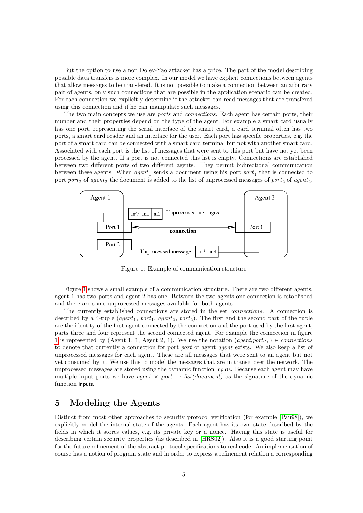But the option to use a non Dolev-Yao attacker has a price. The part of the model describing possible data transfers is more complex. In our model we have explicit connections between agents that allow messages to be transfered. It is not possible to make a connection between an arbitrary pair of agents, only such connections that are possible in the application scenario can be created. For each connection we explicitly determine if the attacker can read messages that are transfered using this connection and if he can manipulate such messages.

The two main concepts we use are ports and connections. Each agent has certain ports, their number and their properties depend on the type of the agent. For example a smart card usually has one port, representing the serial interface of the smart card, a card terminal often has two ports, a smart card reader and an interface for the user. Each port has specific properties, e.g. the port of a smart card can be connected with a smart card terminal but not with another smart card. Associated with each port is the list of messages that were sent to this port but have not yet been processed by the agent. If a port is not connected this list is empty. Connections are established between two different ports of two different agents. They permit bidirectional communication between these agents. When  $agent_1$  sends a document using his port  $port_1$  that is connected to port  $port_2$  of  $agent_2$  the document is added to the list of unprocessed messages of  $port_2$  of  $agent_2$ .



<span id="page-6-1"></span>Figure 1: Example of communication structure

Figure [1](#page-6-1) shows a small example of a communication structure. There are two different agents, agent 1 has two ports and agent 2 has one. Between the two agents one connection is established and there are some unprocessed messages available for both agents.

The currently established connections are stored in the set connections. A connection is described by a 4-tuple (agent<sub>1</sub>, port<sub>1</sub>, agent<sub>2</sub>, port<sub>2</sub>). The first and the second part of the tuple are the identity of the first agent connected by the connection and the port used by the first agent, parts three and four represent the second connected agent. For example the connection in figure [1](#page-6-1) is represented by (Agent 1, 1, Agent 2, 1). We use the notation (agent, port,  $\cdot$ ,  $\cdot$ )  $\in$  connections to denote that currently a connection for port port of agent agent exists. We also keep a list of unprocessed messages for each agent. These are all messages that were sent to an agent but not yet consumed by it. We use this to model the messages that are in transit over the network. The unprocessed messages are stored using the dynamic function inputs. Because each agent may have multiple input ports we have agent  $\times$  port  $\rightarrow$  list(document) as the signature of the dynamic function inputs.

## <span id="page-6-0"></span>5 Modeling the Agents

Distinct from most other approaches to security protocol verification (for example [\[Pau98\]](#page-21-4)), we explicitly model the internal state of the agents. Each agent has its own state described by the fields in which it stores values, e.g. its private key or a nonce. Having this state is useful for describing certain security properties (as described in [\[HRS02\]](#page-21-6)). Also it is a good starting point for the future refinement of the abstract protocol specifications to real code. An implementation of course has a notion of program state and in order to express a refinement relation a corresponding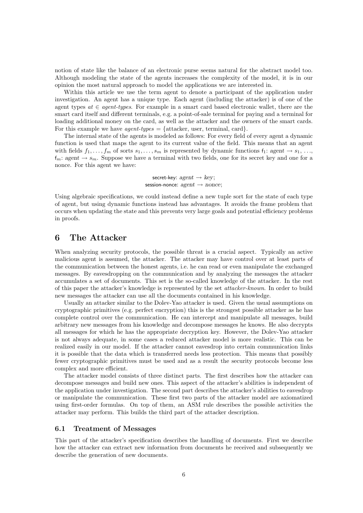notion of state like the balance of an electronic purse seems natural for the abstract model too. Although modeling the state of the agents increases the complexity of the model, it is in our opinion the most natural approach to model the applications we are interested in.

Within this article we use the term agent to denote a participant of the application under investigation. An agent has a unique type. Each agent (including the attacker) is of one of the agent types  $at \in agent\text{-types}$ . For example in a smart card based electronic wallet, there are the smart card itself and different terminals, e.g. a point-of-sale terminal for paying and a terminal for loading additional money on the card, as well as the attacker and the owners of the smart cards. For this example we have *agent-types*  $=$  {attacker, user, terminal, card}.

The internal state of the agents is modeled as follows: For every field of every agent a dynamic function is used that maps the agent to its current value of the field. This means that an agent with fields  $f_1, \ldots, f_m$  of sorts  $s_1, \ldots, s_m$  is represented by dynamic functions  $f_1: agent \rightarrow s_1, \ldots,$  $f_m$ : agent  $\rightarrow s_m$ . Suppose we have a terminal with two fields, one for its secret key and one for a nonce. For this agent we have:

> secret-key:  $a \neq b$   $\rightarrow$  key: session-nonce:  $a$ gent  $\rightarrow$  nonce:

Using algebraic specifications, we could instead define a new tuple sort for the state of each type of agent, but using dynamic functions instead has advantages. It avoids the frame problem that occurs when updating the state and this prevents very large goals and potential efficiency problems in proofs.

## <span id="page-7-0"></span>6 The Attacker

When analyzing security protocols, the possible threat is a crucial aspect. Typically an active malicious agent is assumed, the attacker. The attacker may have control over at least parts of the communication between the honest agents, i.e. he can read or even manipulate the exchanged messages. By eavesdropping on the communication and by analyzing the messages the attacker accumulates a set of documents. This set is the so-called knowledge of the attacker. In the rest of this paper the attacker's knowledge is represented by the set attacker-known. In order to build new messages the attacker can use all the documents contained in his knowledge.

Usually an attacker similar to the Dolev-Yao attacker is used. Given the usual assumptions on cryptographic primitives (e.g. perfect encryption) this is the strongest possible attacker as he has complete control over the communication. He can intercept and manipulate all messages, build arbitrary new messages from his knowledge and decompose messages he knows. He also decrypts all messages for which he has the appropriate decryption key. However, the Dolev-Yao attacker is not always adequate, in some cases a reduced attacker model is more realistic. This can be realized easily in our model. If the attacker cannot eavesdrop into certain communication links it is possible that the data which is transferred needs less protection. This means that possibly fewer cryptographic primitives must be used and as a result the security protocols become less complex and more efficient.

The attacker model consists of three distinct parts. The first describes how the attacker can decompose messages and build new ones. This aspect of the attacker's abilities is independent of the application under investigation. The second part describes the attacker's abilities to eavesdrop or manipulate the communication. These first two parts of the attacker model are axiomatized using first-order formulas. On top of them, an ASM rule describes the possible activities the attacker may perform. This builds the third part of the attacker description.

#### <span id="page-7-1"></span>6.1 Treatment of Messages

This part of the attacker's specification describes the handling of documents. First we describe how the attacker can extract new information from documents he received and subsequently we describe the generation of new documents.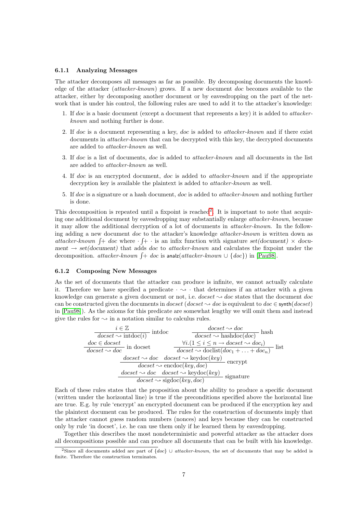#### <span id="page-8-1"></span>6.1.1 Analyzing Messages

The attacker decomposes all messages as far as possible. By decomposing documents the knowledge of the attacker (attacker-known) grows. If a new document doc becomes available to the attacker, either by decomposing another document or by eavesdropping on the part of the network that is under his control, the following rules are used to add it to the attacker's knowledge:

- 1. If doc is a basic document (except a document that represents a key) it is added to attackerknown and nothing further is done.
- 2. If doc is a document representing a key, doc is added to attacker-known and if there exist documents in *attacker-known* that can be decrypted with this key, the decrypted documents are added to attacker-known as well.
- 3. If doc is a list of documents, doc is added to attacker-known and all documents in the list are added to attacker-known as well.
- 4. If doc is an encrypted document, doc is added to attacker-known and if the appropriate decryption key is available the plaintext is added to *attacker-known* as well.
- 5. If doc is a signature or a hash document, doc is added to attacker-known and nothing further is done.

This decomposition is repeated until a fixpoint is reached<sup>[2](#page-8-0)</sup>. It is important to note that acquiring one additional document by eavesdropping may substantially enlarge attacker-known, because it may allow the additional decryption of a lot of documents in attacker-known. In the following adding a new document doc to the attacker's knowledge attacker-known is written down as attacker-known  $\int +$  doc where  $\cdot$   $\int +$   $\cdot$  is an infix function with signature set(document)  $\times$  document  $\rightarrow set(document)$  that adds *doc* to *attacker-known* and calculates the fixpoint under the decomposition. attacker-known  $\int$  + doc is analz(attacker-known  $\cup$  {doc}) in [\[Pau98\]](#page-21-4).

#### 6.1.2 Composing New Messages

As the set of documents that the attacker can produce is infinite, we cannot actually calculate it. Therefore we have specified a predicate  $\cdot \leadsto \cdot$  that determines if an attacker with a given knowledge can generate a given document or not, i.e.  $doseet \sim doc$  states that the document doc can be constructed given the documents in docset (docset  $\sim$  doc is equivalent to doc  $\in$  synth(docset) in [\[Pau98\]](#page-21-4)). As the axioms for this predicate are somewhat lengthy we will omit them and instead give the rules for  $\sim$  in a notation similar to calculus rules.

| $i \in \mathbb{Z}$<br>intdoc<br>$\overline{docset \leadsto \mathrm{intdoc}(i)}$                                                           | $docset \sim doc$<br>hash<br>$\overline{docset \leadsto \text{hashdoc}(doc)}$                                                                       |
|-------------------------------------------------------------------------------------------------------------------------------------------|-----------------------------------------------------------------------------------------------------------------------------------------------------|
| $\frac{doc \in docset}{docset \sim doc}$ in docset                                                                                        | $\forall i. (1 \leq i \leq n \rightarrow docset \sim doc_i)$<br>list<br>$\overline{doeset \rightsquigarrow \text{doclist}(doc_1 + \ldots + doc_n)}$ |
| $docset \sim doc$ $docset \sim \text{keydoc}(key)$ encrypt<br>$doeset \rightarrow \text{encode}(key, doc)$                                |                                                                                                                                                     |
| $doeset \rightsquigarrow doc \quad docset \rightsquigarrow \text{keydoc}(key)$<br>signature<br>$doeset \rightsquigarrow$ sigdoc(key, doc) |                                                                                                                                                     |

Each of these rules states that the proposition about the ability to produce a specific document (written under the horizontal line) is true if the preconditions specified above the horizontal line are true. E.g. by rule 'encrypt' an encrypted document can be produced if the encryption key and the plaintext document can be produced. The rules for the construction of documents imply that the attacker cannot guess random numbers (nonces) and keys because they can be constructed only by rule 'in docset', i.e. he can use them only if he learned them by eavesdropping.

Together this describes the most nondeterministic and powerful attacker as the attacker does all decompositions possible and can produce all documents that can be built with his knowledge.

<span id="page-8-0"></span><sup>&</sup>lt;sup>2</sup>Since all documents added are part of  ${doc}$  ∪ attacker-known, the set of documents that may be added is finite. Therefore the construction terminates.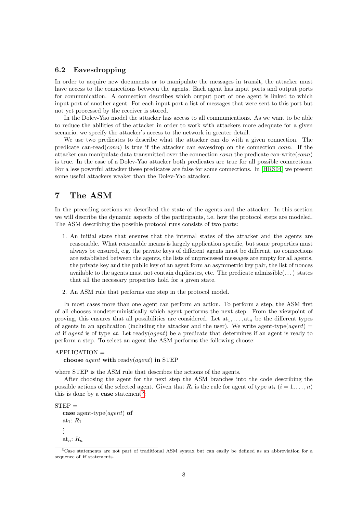#### <span id="page-9-1"></span>6.2 Eavesdropping

In order to acquire new documents or to manipulate the messages in transit, the attacker must have access to the connections between the agents. Each agent has input ports and output ports for communication. A connection describes which output port of one agent is linked to which input port of another agent. For each input port a list of messages that were sent to this port but not yet processed by the receiver is stored.

In the Dolev-Yao model the attacker has access to all communications. As we want to be able to reduce the abilities of the attacker in order to work with attackers more adequate for a given scenario, we specify the attacker's access to the network in greater detail.

We use two predicates to describe what the attacker can do with a given connection. The predicate can-read(conn) is true if the attacker can eavesdrop on the connection conn. If the attacker can manipulate data transmitted over the connection *conn* the predicate can-write(*conn*) is true. In the case of a Dolev-Yao attacker both predicates are true for all possible connections. For a less powerful attacker these predicates are false for some connections. In [\[HRS04\]](#page-21-8) we present some useful attackers weaker than the Dolev-Yao attacker.

## <span id="page-9-0"></span>7 The ASM

In the preceding sections we described the state of the agents and the attacker. In this section we will describe the dynamic aspects of the participants, i.e. how the protocol steps are modeled. The ASM describing the possible protocol runs consists of two parts:

- 1. An initial state that ensures that the internal states of the attacker and the agents are reasonable. What reasonable means is largely application specific, but some properties must always be ensured, e.g. the private keys of different agents must be different, no connections are established between the agents, the lists of unprocessed messages are empty for all agents, the private key and the public key of an agent form an asymmetric key pair, the list of nonces available to the agents must not contain duplicates, etc. The predicate admissible $(\dots)$  states that all the necessary properties hold for a given state.
- 2. An ASM rule that performs one step in the protocol model.

In most cases more than one agent can perform an action. To perform a step, the ASM first of all chooses nondeterministically which agent performs the next step. From the viewpoint of proving, this ensures that all possibilities are considered. Let  $at_1, \ldots, at_n$  be the different types of agents in an application (including the attacker and the user). We write agent-type(*agent*) = at if agent is of type at. Let ready(agent) be a predicate that determines if an agent is ready to perform a step. To select an agent the ASM performs the following choose:

 $APPLICATION =$ choose *agent* with ready(*agent*) in STEP

where STEP is the ASM rule that describes the actions of the agents.

After choosing the agent for the next step the ASM branches into the code describing the possible actions of the selected agent. Given that  $R_i$  is the rule for agent of type  $at_i$   $(i = 1, ..., n)$ this is done by a **case** statement<sup>[3](#page-9-2)</sup>:

 $STEP =$ case agent-type(*agent*) of at<sub>1</sub>:  $R_1$ . . . at<sub>n</sub>:  $R_n$ 

<span id="page-9-2"></span><sup>3</sup>Case statements are not part of traditional ASM syntax but can easily be defined as an abbreviation for a sequence of if statements.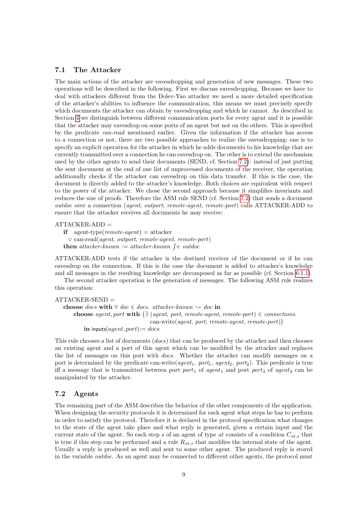#### <span id="page-10-0"></span>7.1 The Attacker

The main actions of the attacker are eavesdropping and generation of new messages. These two operations will be described in the following. First we discuss eavesdropping. Because we have to deal with attackers different from the Dolev-Yao attacker we need a more detailed specification of the attacker's abilities to influence the communication, this means we must precisely specify which documents the attacker can obtain by eavesdropping and which he cannot. As described in Section [4](#page-5-0) we distinguish between different communication ports for every agent and it is possible that the attacker may eavesdrop on some ports of an agent but not on the others. This is specified by the predicate can-read mentioned earlier. Given the information if the attacker has access to a connection or not, there are two possible approaches to realize the eavesdropping: one is to specify an explicit operation for the attacker in which he adds documents to his knowledge that are currently transmitted over a connection he can eavesdrop on. The other is to extend the mechanism used by the other agents to send their documents (SEND, cf. Section [7.2\)](#page-10-1): instead of just putting the sent document at the end of one list of unprocessed documents of the receiver, the operation additionally checks if the attacker can eavesdrop on this data transfer. If this is the case, the document is directly added to the attacker's knowledge. Both choices are equivalent with respect to the power of the attacker. We chose the second approach because it simplifies invariants and reduces the size of proofs. Therefore the ASM rule SEND (cf. Section [7.2\)](#page-10-1) that sends a document outdoc over a connection (agent, outport, remote-agent, remote-port) calls ATTACKER-ADD to ensure that the attacker receives all documents he may receive:

#### $ATTACKER-ADD =$

if agent-type( $remote\text{-}agent$ ) = attacker ∨ can-read(agent, outport, remote-agent, remote-port) then attacker-known := attacker-known  $\int$ + outdoc

ATTACKER-ADD tests if the attacker is the destined receiver of the document or if he can eavesdrop on the connection. If this is the case the document is added to attacker's knowledge and all messages in the resulting knowledge are decomposed as far as possible (cf. Section [6.1.1\)](#page-8-1).

The second attacker operation is the generation of messages. The following ASM rule realizes this operation:

```
ATTACKER-SEND =
```

```
choose docs with \forall doc ∈ docs. attacker-known \rightsquigarrow doc in
    choose agent, port with (\exists (agent, port, remote-agent, remote-port) \in connections.
                                    can-write(agent, port, remote-agent, remote-port))
        in inputs(agent, port) := docs
```
This rule chooses a list of documents (docs) that can be produced by the attacker and then chooses an existing agent and a port of this agent which can be modified by the attacker and replaces the list of messages on this port with docs. Whether the attacker can modify messages on a port is determined by the predicate can-write( $agent_1$ , port<sub>1</sub>, agent<sub>2</sub>, port<sub>2</sub>). This predicate is true iff a message that is transmitted between port port<sub>1</sub> of agent<sub>1</sub> and port port<sub>2</sub> of agent<sub>2</sub> can be manipulated by the attacker.

#### <span id="page-10-1"></span>7.2 Agents

The remaining part of the ASM describes the behavior of the other components of the application. When designing the security protocols it is determined for each agent what steps he has to perform in order to satisfy the protocol. Therefore it is declared in the protocol specification what changes to the state of the agent take place and what reply is generated, given a certain input and the current state of the agent. So each step s of an agent of type at consists of a condition  $C_{at,s}$  that is true if this step can be performed and a rule  $R_{at,s}$  that modifies the internal state of the agent. Usually a reply is produced as well and sent to some other agent. The produced reply is stored in the variable outdoc. As an agent may be connected to different other agents, the protocol must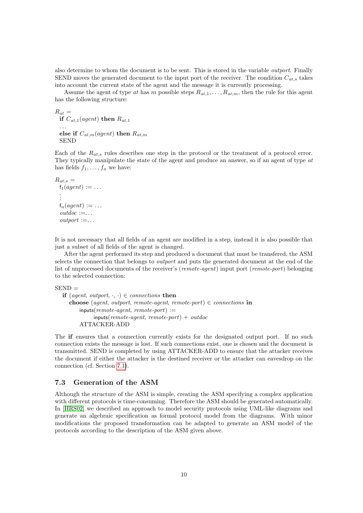also determine to whom the document is to be sent. This is stored in the variable outport. Finally SEND moves the generated document to the input port of the receiver. The condition  $C_{at,s}$  takes into account the current state of the agent and the message it is currently processing.

Assume the agent of type at has m possible steps  $R_{at,1}, \ldots, R_{at,m}$ , then the rule for this agent has the following structure:

 $R_{at} =$ if  $C_{at,1}(agent)$  then  $R_{at,1}$ . . . else if  $C_{at,m}(agent)$  then  $R_{at,m}$ 

SEND

Each of the  $R_{at,s}$  rules describes one step in the protocol or the treatment of a protocol error. They typically manipulate the state of the agent and produce an answer, so if an agent of type at has fields  $f_1, \ldots, f_n$  we have:

```
R_{at,s} =f_1(agent) := \ldots.
  .
  .
 f_n(agent) := \ldotsoutdoc := \dotsoutput := \ldots
```
It is not necessary that all fields of an agent are modified in a step, instead it is also possible that just a subset of all fields of the agent is changed.

After the agent performed its step and produced a document that must be transfered, the ASM selects the connection that belongs to outport and puts the generated document at the end of the list of unprocessed documents of the receiver's (remote-agent) input port (remote-port) belonging to the selected connection:

 $SEND =$ 

```
if (agent, outport, \cdot, \cdot) \in connections then
  choose (agent, outport, remote-agent, remote-port) \in connections in
       inputs(remote\text{-}agent, remote\text{-}port) :=inputs(remote-agent, remote-port) + outdocATTACKER-ADD
```
The if ensures that a connection currently exists for the designated output port. If no such connection exists the message is lost. If such connections exist, one is chosen and the document is transmitted. SEND is completed by using ATTACKER-ADD to ensure that the attacker receives the document if either the attacker is the destined receiver or the attacker can eavesdrop on the connection (cf. Section [7.1\)](#page-10-0).

#### 7.3 Generation of the ASM

Although the structure of the ASM is simple, creating the ASM specifying a complex application with different protocols is time-consuming. Therefore the ASM should be generated automatically. In [\[HRS02\]](#page-21-6) we described an approach to model security protocols using UML-like diagrams and generate an algebraic specification as formal protocol model from the diagrams. With minor modifications the proposed transformation can be adapted to generate an ASM model of the protocols according to the description of the ASM given above.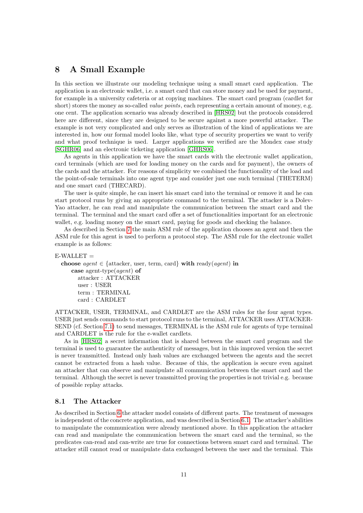## <span id="page-12-0"></span>8 A Small Example

In this section we illustrate our modeling technique using a small smart card application. The application is an electronic wallet, i.e. a smart card that can store money and be used for payment, for example in a university cafeteria or at copying machines. The smart card program (cardlet for short) stores the money as so-called *value points*, each representing a certain amount of money, e.g. one cent. The application scenario was already described in [\[HRS02\]](#page-21-6) but the protocols considered here are different, since they are designed to be secure against a more powerful attacker. The example is not very complicated and only serves as illustration of the kind of applications we are interested in, how our formal model looks like, what type of security properties we want to verify and what proof technique is used. Larger applications we verified are the Mondex case study [\[SGHR06\]](#page-22-0) and an electronic ticketing application [\[GHRS06\]](#page-21-7).

As agents in this application we have the smart cards with the electronic wallet application, card terminals (which are used for loading money on the cards and for payment), the owners of the cards and the attacker. For reasons of simplicity we combined the functionality of the load and the point-of-sale terminals into one agent type and consider just one such terminal (THETERM) and one smart card (THECARD).

The user is quite simple, he can insert his smart card into the terminal or remove it and he can start protocol runs by giving an appropriate command to the terminal. The attacker is a Dolev-Yao attacker, he can read and manipulate the communication between the smart card and the terminal. The terminal and the smart card offer a set of functionalities important for an electronic wallet, e.g. loading money on the smart card, paying for goods and checking the balance.

As described in Section [7](#page-9-0) the main ASM rule of the application chooses an agent and then the ASM rule for this agent is used to perform a protocol step. The ASM rule for the electronic wallet example is as follows:

```
E-WALLET =choose agent \in {attacker, user, term, card} with ready(agent) in
     case agent-type(agent) of
       attacker : ATTACKER
       user : USER
       term : TERMINAL
       card : CARDLET
```
ATTACKER, USER, TERMINAL, and CARDLET are the ASM rules for the four agent types. USER just sends commands to start protocol runs to the terminal, ATTACKER uses ATTACKER-SEND (cf. Section [7.1\)](#page-10-0) to send messages, TERMINAL is the ASM rule for agents of type terminal and CARDLET is the rule for the e-wallet cardlets.

As in [\[HRS02\]](#page-21-6) a secret information that is shared between the smart card program and the terminal is used to guarantee the authenticity of messages, but in this improved version the secret is never transmitted. Instead only hash values are exchanged between the agents and the secret cannot be extracted from a hash value. Because of this, the application is secure even against an attacker that can observe and manipulate all communication between the smart card and the terminal. Although the secret is never transmitted proving the properties is not trivial e.g. because of possible replay attacks.

#### 8.1 The Attacker

As described in Section [6](#page-7-0) the attacker model consists of different parts. The treatment of messages is independent of the concrete application, and was described in Section [6.1.](#page-7-1) The attacker's abilities to manipulate the communication were already mentioned above. In this application the attacker can read and manipulate the communication between the smart card and the terminal, so the predicates can-read and can-write are true for connections between smart card and terminal. The attacker still cannot read or manipulate data exchanged between the user and the terminal. This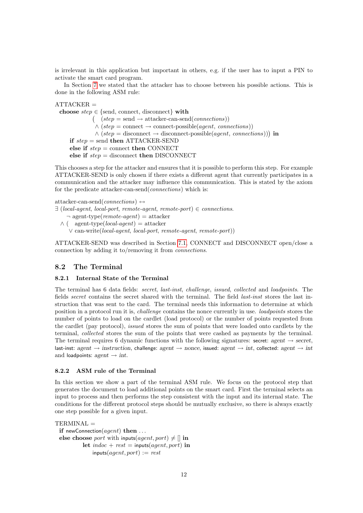is irrelevant in this application but important in others, e.g. if the user has to input a PIN to activate the smart card program.

In Section [7](#page-9-0) we stated that the attacker has to choose between his possible actions. This is done in the following ASM rule:

 $ATTACKER =$ choose  $step \in \{send, \text{connect}, \text{disconnect}\}\$  with  $( \text{step} = \text{send} \rightarrow \text{attacker-can-send}(\text{connections}))$  $\wedge$  (step = connect  $\rightarrow$  connect-possible(agent, connections))  $\wedge$  (step = disconnect  $\rightarrow$  disconnect-possible(agent, connections))) in if  $step = send$  then ATTACKER-SEND else if  $step = \text{connect}$  then CONNECT else if  $step =$  disconnect then DISCONNECT

This chooses a step for the attacker and ensures that it is possible to perform this step. For example ATTACKER-SEND is only chosen if there exists a different agent that currently participates in a communication and the attacker may influence this communication. This is stated by the axiom for the predicate attacker-can-send(connections) which is:

attacker-can-send(connections)  $\leftrightarrow$ 

- $\exists$  (local-agent, local-port, remote-agent, remote-port)  $\in$  connections.  $\neg$  agent-type(*remote-agent*) = attacker
	- $\wedge$  ( agent-type(*local-agent*) = attacker ∨ can-write(local-agent, local-port, remote-agent, remote-port))

ATTACKER-SEND was described in Section [7.1,](#page-10-0) CONNECT and DISCONNECT open/close a connection by adding it to/removing it from connections.

#### <span id="page-13-0"></span>8.2 The Terminal

#### 8.2.1 Internal State of the Terminal

The terminal has 6 data fields: secret, last-inst, challenge, issued, collected and loadpoints. The fields secret contains the secret shared with the terminal. The field last-inst stores the last instruction that was sent to the card. The terminal needs this information to determine at which position in a protocol run it is, challenge contains the nonce currently in use. loadpoints stores the number of points to load on the cardlet (load protocol) or the number of points requested from the cardlet (pay protocol), issued stores the sum of points that were loaded onto cardlets by the terminal, collected stores the sum of the points that were cashed as payments by the terminal. The terminal requires 6 dynamic functions with the following signatures: secret: agent  $\rightarrow$  secret, last-inst: agent  $\rightarrow$  instruction, challenge: agent  $\rightarrow$  nonce, issued: agent  $\rightarrow$  int, collected: agent  $\rightarrow$  int and loadpoints:  $agent \rightarrow int$ .

#### 8.2.2 ASM rule of the Terminal

In this section we show a part of the terminal ASM rule. We focus on the protocol step that generates the document to load additional points on the smart card. First the terminal selects an input to process and then performs the step consistent with the input and its internal state. The conditions for the different protocol steps should be mutually exclusive, so there is always exactly one step possible for a given input.

```
TERMINAL =
```

```
if newConnection(agent) then \dotselse choose port with inputs(agent, port) \neq [] in
           let \text{indoc} + \text{rest} = \text{inputs}(\text{agent}, \text{port}) in
               inputs(agent, port) := rest
```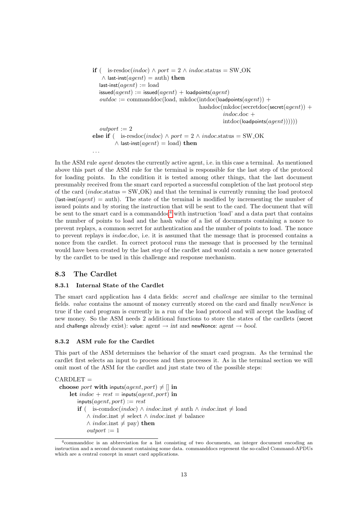```
if ( is-resdoc(indoc) \land port = 2 \land indoc.status = SW_OK
    \wedge last-inst(agent) = auth) then
   last-inst(aqent) :=load
   \mathsf{is sued}(agent) := \mathsf{is sued}(agent) + \mathsf{loadpoints}(agent)outdoc := \text{commanddoc}(\text{load}, \text{mkdoc}(\text{indoc}(\text{loadpoints}(agent)) +hashdoc(mkdoc(secretdoc(secret(agent)) +
                                                        indoc.doc +intdoc(logent))))output := 2else if ( is-resdoc(indoc) \land port = 2 \land indoc.status = SW_OK
         \wedge last-inst(agent) = load) then
```
In the ASM rule *agent* denotes the currently active agent, i.e. in this case a terminal. As mentioned above this part of the ASM rule for the terminal is responsible for the last step of the protocol for loading points. In the condition it is tested among other things, that the last document presumably received from the smart card reported a successful completion of the last protocol step of the card (indoc.status  $=$  SW<sub>-OK</sub>) and that the terminal is currently running the load protocol  $(last-inst(agent) =auth)$ . The state of the terminal is modified by incrementing the number of issued points and by storing the instruction that will be sent to the card. The document that will be sent to the smart card is a commanddoc<sup>[4](#page-14-0)</sup> with instruction 'load' and a data part that contains the number of points to load and the hash value of a list of documents containing a nonce to prevent replays, a common secret for authentication and the number of points to load. The nonce to prevent replays is indoc.doc, i.e. it is assumed that the message that is processed contains a nonce from the cardlet. In correct protocol runs the message that is processed by the terminal would have been created by the last step of the cardlet and would contain a new nonce generated by the cardlet to be used in this challenge and response mechanism.

### 8.3 The Cardlet

. . .

#### 8.3.1 Internal State of the Cardlet

The smart card application has 4 data fields: secret and challenge are similar to the terminal fields. value contains the amount of money currently stored on the card and finally newNonce is true if the card program is currently in a run of the load protocol and will accept the loading of new money. So the ASM needs 2 additional functions to store the states of the cardlets (secret and challenge already exist): value: agent  $\rightarrow$  int and newNonce: agent  $\rightarrow$  bool.

#### 8.3.2 ASM rule for the Cardlet

This part of the ASM determines the behavior of the smart card program. As the terminal the cardlet first selects an input to process and then processes it. As in the terminal section we will omit most of the ASM for the cardlet and just state two of the possible steps:

 $CARDLET =$ choose *port* with inputs(*agent*, *port*)  $\neq$  [] in let indoc + rest = inputs(agent, port) in  $inputs(agent, port) := rest$ **if** ( is-comdoc(indoc) ∧ indoc.inst  $\neq$  auth ∧ indoc.inst  $\neq$  load ∧ *indoc.inst*  $\neq$  select ∧ *indoc.inst*  $\neq$  balance  $\land$  *indoc.inst*  $\neq$  pay) then  $\mathit{outport} := 1$ 

<span id="page-14-0"></span><sup>4</sup>commanddoc is an abbreviation for a list consisting of two documents, an integer document encoding an instruction and a second document containing some data. commanddocs represent the so-called Command-APDUs which are a central concept in smart card applications.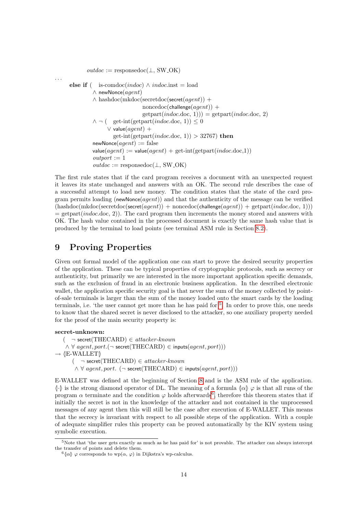$outdoc :=$  responsedoc( $\perp$ , SW\_OK) else if ( is-comdoc(indoc)  $\land$  indoc.inst = load  $\wedge$  newNonce(agent)  $\wedge$  hashdoc(mkdoc(secretdoc(secret(agent)) +  $\text{noncedoc}(\text{challenge}(agent))$  +  $getpart(indoc.doc, 1)) = getpart(indoc.doc, 2)$  $\wedge \neg$  ( get-int(getpart(*indoc.doc, 1*))  $\leq 0$  $\vee$  value $(agent) +$ get-int(getpart(*indoc.doc, 1*)) > 32767) then  $newNone(*agent*) := false$  $value(agent) := value(agent) + get-int(getpart(indoc.doc, 1))$  $output := 1$  $outdoc :=$  responsedoc( $\perp$ , SW<sub>-OK</sub>)

The first rule states that if the card program receives a document with an unexpected request it leaves its state unchanged and answers with an OK. The second rule describes the case of a successful attempt to load new money. The condition states that the state of the card program permits loading (newNonce( $agent$ )) and that the authenticity of the message can be verified  $(hashdoc(mkdoc(secretdoc(secret(agent)) + noncedoc(challenge(agent)) + getpart(indoc.doc, 1)))$  $=$  getpart(*indoc.*doc, 2)). The card program then increments the money stored and answers with OK. The hash value contained in the processed document is exactly the same hash value that is produced by the terminal to load points (see terminal ASM rule in Section [8.2\)](#page-13-0).

## <span id="page-15-0"></span>9 Proving Properties

Given out formal model of the application one can start to prove the desired security properties of the application. These can be typical properties of cryptographic protocols, such as secrecy or authenticity, but primarily we are interested in the more important application specific demands, such as the exclusion of fraud in an electronic business application. In the described electronic wallet, the application specific security goal is that never the sum of the money collected by pointof-sale terminals is larger than the sum of the money loaded onto the smart cards by the loading terminals, i.e. 'the user cannot get more than he has paid for'<sup>[5](#page-15-1)</sup>. In order to prove this, one needs to know that the shared secret is never disclosed to the attacker, so one auxiliary property needed for the proof of the main security property is:

secret-unknown:

. . .

 $(\neg$  secret(THECARD)  $\in$  attacker-known  $\wedge \forall$  agent, port.( $\neg$  secret(THECARD)  $\in$  inputs(agent, port)))  $\rightarrow$  **\E-WALLET**\)

 $(\neg$  secret(THECARD)  $\in$  attacker-known

 $\land \forall$  agent, port. ( $\neg$  secret(THECARD)  $\in$  inputs(agent, port)))

E-WALLET was defined at the beginning of Section [8](#page-12-0) and is the ASM rule of the application.  $\langle\cdot|\cdot\rangle$  is the strong diamond operator of DL. The meaning of a formula  $\langle\alpha|\rangle\varphi$  is that all runs of the program  $\alpha$  terminate and the condition  $\varphi$  holds afterwards<sup>[6](#page-15-2)</sup>, therefore this theorem states that if initially the secret is not in the knowledge of the attacker and not contained in the unprocessed messages of any agent then this will still be the case after execution of E-WALLET. This means that the secrecy is invariant with respect to all possible steps of the application. With a couple of adequate simplifier rules this property can be proved automatically by the KIV system using symbolic execution.

<span id="page-15-1"></span><sup>5</sup>Note that 'the user gets exactly as much as he has paid for' is not provable. The attacker can always intercept the transfer of points and delete them.

<span id="page-15-2"></span><sup>&</sup>lt;sup>6</sup> $\{\alpha\}$   $\varphi$  corresponds to wp $(\alpha, \varphi)$  in Dijkstra's wp-calculus.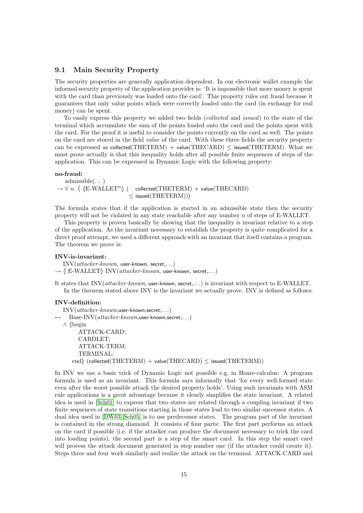#### 9.1 Main Security Property

The security properties are generally application dependent. In our electronic wallet example the informal security property of the application provider is: 'It is impossible that more money is spent with the card than previously was loaded onto the card'. This property rules out fraud because it guarantees that only value points which were correctly loaded onto the card (in exchange for real money) can be spent.

To easily express this property we added two fields (collected and issued) to the state of the terminal which accumulate the sum of the points loaded onto the card and the points spent with the card. For the proof it is useful to consider the points currently on the card as well. The points on the card are stored in the field value of the card. With these three fields the security property can be expressed as collected(THETERM) + value(THECARD)  $\leq$  issued(THETERM). What we must prove actually is that this inequality holds after all possible finite sequences of steps of the application. This can be expressed in Dynamic Logic with the following property:

#### no-fraud:

admissible(. . . )  $\rightarrow \forall n.$  (  $\langle$  E-WALLET<sup>n</sup> $\rangle$  ( collected(THETERM) + value(THECARD)  $\leq$  issued(THETERM)))

The formula states that if the application is started in an admissible state then the security property will not be violated in any state reachable after any number n of steps of E-WALLET.

This property is proven basically by showing that the inequality is invariant relative to a step of the application. As the invariant necessary to establish the property is quite complicated for a direct proof attempt, we used a different approach with an invariant that itself contains a program. The theorem we prove is:

#### INV-is-invariant:

INV(attacker-known, user-known, secret,. . .)

 $\rightarrow$   $\parallel$  E-WALLET $\parallel$  INV(attacker-known, user-known, secret,...)

It states that INV(attacker-known, user-known, secret,...) is invariant with respect to E-WALLET. In the theorem stated above INV is the invariant we actually prove. INV is defined as follows:

#### INV-definition:

 $\mathrm{INV}(attacker-known, \mathsf{user-known, \mathsf{secret}, \ldots)$  $Base-INV(attacker-known,user-known,secret...)$ ∧ (begin ATTACK-CARD; CARDLET; ATTACK-TERM; TERMINAL; end $\langle$  (collected(THETERM) + value(THECARD)  $\leq$  issued(THETERM))

In INV we use a basic trick of Dynamic Logic not possible e.g. in Hoare-calculus: A program formula is used as an invariant. This formula says informally that 'for every well-formed state even after the worst possible attack the desired property holds'. Using such invariants with ASM rule applications is a great advantage because it clearly simplifies the state invariant. A related idea is used in [\[Sch01\]](#page-22-1) to express that two states are related through a coupling invariant if two finite sequences of state transitions starting in those states lead to two similar successor states. A dual idea used in [\[DW03\]](#page-20-11)[\[Sch05\]](#page-22-2) is to use predecessor states. The program part of the invariant is contained in the strong diamond. It consists of four parts: The first part performs an attack on the card if possible (i.e. if the attacker can produce the document necessary to trick the card into loading points), the second part is a step of the smart card. In this step the smart card will process the attack document generated in step number one (if the attacker could create it). Steps three and four work similarly and realize the attack on the terminal. ATTACK-CARD and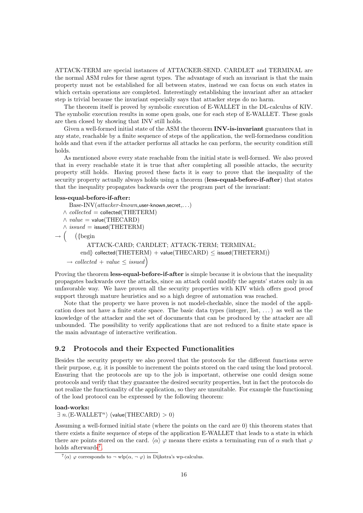ATTACK-TERM are special instances of ATTACKER-SEND. CARDLET and TERMINAL are the normal ASM rules for these agent types. The advantage of such an invariant is that the main property must not be established for all between states, instead we can focus on such states in which certain operations are completed. Interestingly establishing the invariant after an attacker step is trivial because the invariant especially says that attacker steps do no harm.

The theorem itself is proved by symbolic execution of E-WALLET in the DL-calculus of KIV. The symbolic execution results in some open goals, one for each step of E-WALLET. These goals are then closed by showing that INV still holds.

Given a well-formed initial state of the ASM the theorem **INV-is-invariant** guarantees that in any state, reachable by a finite sequence of steps of the application, the well-formedness condition holds and that even if the attacker performs all attacks he can perform, the security condition still holds.

As mentioned above every state reachable from the initial state is well-formed. We also proved that in every reachable state it is true that after completing all possible attacks, the security property still holds. Having proved these facts it is easy to prove that the inequality of the security property actually always holds using a theorem (less-equal-before-if-after) that states that the inequality propagates backwards over the program part of the invariant:

#### less-equal-before-if-after:

```
Base-INV(attacker-known,user-known,secret...)\wedge collected = collected(THETERM)
  \wedge value = value(THECARD)\wedge issued = issued(THETERM)
\rightarrow\int (sphistophermic)
           ATTACK-CARD; CARDLET; ATTACK-TERM; TERMINAL;
         \langle collected(THETERM) + value(THECARD) \leq issued(THETERM))
    \rightarrow collected + value \leq issued
```
Proving the theorem **less-equal-before-if-after** is simple because it is obvious that the inequality propagates backwards over the attacks, since an attack could modify the agents' states only in an unfavorable way. We have proven all the security properties with KIV which offers good proof support through mature heuristics and so a high degree of automation was reached.

Note that the property we have proven is not model-checkable, since the model of the application does not have a finite state space. The basic data types (integer, list, . . . ) as well as the knowledge of the attacker and the set of documents that can be produced by the attacker are all unbounded. The possibility to verify applications that are not reduced to a finite state space is the main advantage of interactive verification.

#### 9.2 Protocols and their Expected Functionalities

Besides the security property we also proved that the protocols for the different functions serve their purpose, e.g. it is possible to increment the points stored on the card using the load protocol. Ensuring that the protocols are up to the job is important, otherwise one could design some protocols and verify that they guarantee the desired security properties, but in fact the protocols do not realize the functionality of the application, so they are unsuitable. For example the functioning of the load protocol can be expressed by the following theorem:

load-works:

 $\exists n.(E-WALLET^n)$  (value(THECARD) > 0)

Assuming a well-formed initial state (where the points on the card are 0) this theorem states that there exists a finite sequence of steps of the application E-WALLET that leads to a state in which there are points stored on the card.  $\langle \alpha \rangle \varphi$  means there exists a terminating run of  $\alpha$  such that  $\varphi$ holds afterwards<sup>[7](#page-17-0)</sup>.

<span id="page-17-0"></span> $\sqrt{7} \langle \alpha \rangle$   $\varphi$  corresponds to  $\neg$  wlp $(\alpha, \neg \varphi)$  in Dijkstra's wp-calculus.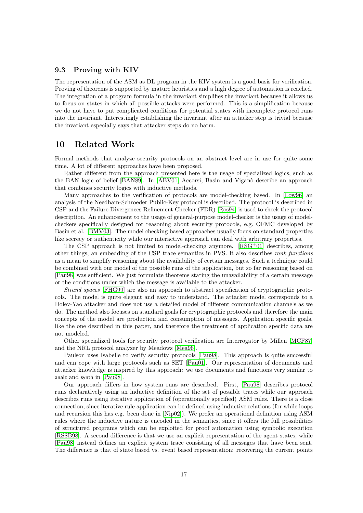#### 9.3 Proving with KIV

The representation of the ASM as DL program in the KIV system is a good basis for verification. Proving of theorems is supported by mature heuristics and a high degree of automation is reached. The integration of a program formula in the invariant simplifies the invariant because it allows us to focus on states in which all possible attacks were performed. This is a simplification because we do not have to put complicated conditions for potential states with incomplete protocol runs into the invariant. Interestingly establishing the invariant after an attacker step is trivial because the invariant especially says that attacker steps do no harm.

## <span id="page-18-0"></span>10 Related Work

Formal methods that analyze security protocols on an abstract level are in use for quite some time. A lot of different approaches have been proposed.

Rather different from the approach presented here is the usage of specialized logics, such as the BAN logic of belief [\[BAN89\]](#page-20-3). In [\[ABV01\]](#page-20-12) Accorsi, Basin and Viganò describe an approach that combines security logics with inductive methods.

Many approaches to the verification of protocols are model-checking based. In [\[Low96\]](#page-21-3) an analysis of the Needham-Schroeder Public-Key protocol is described. The protocol is described in CSP and the Failure Divergences Refinement Checker (FDR) [\[Ros94\]](#page-21-9) is used to check the protocol description. An enhancement to the usage of general-purpose model-checker is the usage of modelcheckers specifically designed for reasoning about security protocols, e.g. OFMC developed by Basin et al. [\[BMV03\]](#page-20-2). The model checking based approaches usually focus on standard properties like secrecy or authenticity while our interactive approach can deal with arbitrary properties.

The CSP approach is not limited to model-checking anymore.  $[RSG<sup>+</sup>01]$  $[RSG<sup>+</sup>01]$  describes, among other things, an embedding of the CSP trace semantics in PVS. It also describes rank functions as a mean to simplify reasoning about the availability of certain messages. Such a technique could be combined with our model of the possible runs of the application, but so far reasoning based on [\[Pau98\]](#page-21-4) was sufficient. We just formulate theorems stating the unavailability of a certain message or the conditions under which the message is available to the attacker.

Strand spaces [\[FHG99\]](#page-21-11) are also an approach to abstract specification of cryptographic protocols. The model is quite elegant and easy to understand. The attacker model corresponds to a Dolev-Yao attacker and does not use a detailed model of different communication channels as we do. The method also focuses on standard goals for cryptographic protocols and therefore the main concepts of the model are production and consumption of messages. Application specific goals, like the one described in this paper, and therefore the treatment of application specific data are not modeled.

Other specialized tools for security protocol verification are Interrogator by Millen [\[MCF87\]](#page-21-12) and the NRL protocol analyzer by Meadows [\[Mea96\]](#page-21-13).

Paulson uses Isabelle to verify security protocols [\[Pau98\]](#page-21-4). This approach is quite successful and can cope with large protocols such as SET [\[Pau01\]](#page-21-14). Our representation of documents and attacker knowledge is inspired by this approach: we use documents and functions very similar to analz and synth in [\[Pau98\]](#page-21-4).

Our approach differs in how system runs are described. First, [\[Pau98\]](#page-21-4) describes protocol runs declaratively using an inductive definition of the set of possible traces while our approach describes runs using iterative application of (operationally specified) ASM rules. There is a close connection, since iterative rule application can be defined using inductive relations (for while loops and recursion this has e.g. been done in [\[Nip02\]](#page-21-15)). We prefer an operational definition using ASM rules where the inductive nature is encoded in the semantics, since it offers the full possibilities of structured programs which can be exploited for proof automation using symbolic execution [\[RSSB98\]](#page-21-16). A second difference is that we use an explicit representation of the agent states, while [\[Pau98\]](#page-21-4) instead defines an explicit system trace consisting of all messages that have been sent. The difference is that of state based vs. event based representation: recovering the current points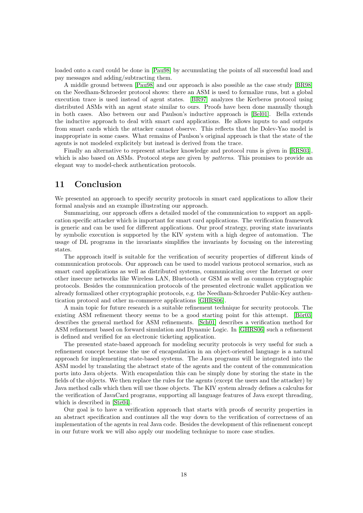loaded onto a card could be done in [\[Pau98\]](#page-21-4) by accumulating the points of all successful load and pay messages and adding/subtracting them.

A middle ground between [\[Pau98\]](#page-21-4) and our approach is also possible as the case study [\[BR98\]](#page-20-13) on the Needham-Schroeder protocol shows: there an ASM is used to formalize runs, but a global execution trace is used instead of agent states. [\[BR97\]](#page-20-14) analyzes the Kerberos protocol using distributed ASMs with an agent state similar to ours. Proofs have been done manually though in both cases. Also between our and Paulson's inductive approach is [\[Bel01\]](#page-20-10). Bella extends the inductive approach to deal with smart card applications. He allows inputs to and outputs from smart cards which the attacker cannot observe. This reflects that the Dolev-Yao model is inappropriate in some cases. What remains of Paulson's original approach is that the state of the agents is not modeled explicitely but instead is derived from the trace.

Finally an alternative to represent attacker knowledge and protocol runs is given in [\[RRS03\]](#page-21-17), which is also based on ASMs. Protocol steps are given by *patterns*. This promises to provide an elegant way to model-check authentication protocols.

## <span id="page-19-0"></span>11 Conclusion

We presented an approach to specify security protocols in smart card applications to allow their formal analysis and an example illustrating our approach.

Summarizing, our approach offers a detailed model of the communication to support an application specific attacker which is important for smart card applications. The verification framework is generic and can be used for different applications. Our proof strategy, proving state invariants by symbolic execution is supported by the KIV system with a high degree of automation. The usage of DL programs in the invariants simplifies the invariants by focusing on the interesting states.

The approach itself is suitable for the verification of security properties of different kinds of communication protocols. Our approach can be used to model various protocol scenarios, such as smart card applications as well as distributed systems, communicating over the Internet or over other insecure networks like Wireless LAN, Bluetooth or GSM as well as common cryptographic protocols. Besides the communication protocols of the presented electronic wallet application we already formalized other cryptographic protocols, e.g. the Needham-Schroeder Public-Key authentication protocol and other m-commerce applications [\[GHRS06\]](#page-21-7).

A main topic for future research is a suitable refinement technique for security protocols. The existing ASM refinement theory seems to be a good starting point for this attempt. [Bör03] describes the general method for ASM refinements. [\[Sch01\]](#page-22-1) describes a verification method for ASM refinement based on forward simulation and Dynamic Logic. In [\[GHRS06\]](#page-21-7) such a refinement is defined and verified for an electronic ticketing application.

The presented state-based approach for modeling security protocols is very useful for such a refinement concept because the use of encapsulation in an object-oriented language is a natural approach for implementing state-based systems. The Java programs will be integrated into the ASM model by translating the abstract state of the agents and the content of the communication ports into Java objects. With encapsulation this can be simply done by storing the state in the fields of the objects. We then replace the rules for the agents (except the users and the attacker) by Java method calls which then will use those objects. The KIV system already defines a calculus for the verification of JavaCard programs, supporting all language features of Java except threading, which is described in [\[Ste04\]](#page-22-3).

Our goal is to have a verification approach that starts with proofs of security properties in an abstract specification and continues all the way down to the verification of correctness of an implementation of the agents in real Java code. Besides the development of this refinement concept in our future work we will also apply our modeling technique to more case studies.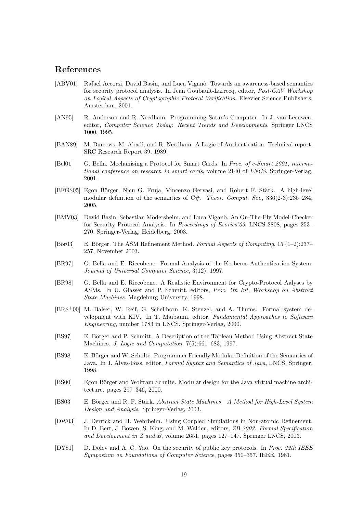## References

- <span id="page-20-12"></span>[ABV01] Rafael Accorsi, David Basin, and Luca Viganò. Towards an awareness-based semantics for security protocol analysis. In Jean Goubault-Larrecq, editor, Post-CAV Workshop on Logical Aspects of Cryptographic Protocol Verification. Elsevier Science Publishers, Amsterdam, 2001.
- <span id="page-20-1"></span>[AN95] R. Anderson and R. Needham. Programming Satan's Computer. In J. van Leeuwen, editor, Computer Science Today: Recent Trends and Developments. Springer LNCS 1000, 1995.
- <span id="page-20-3"></span>[BAN89] M. Burrows, M. Abadi, and R. Needham. A Logic of Authentication. Technical report, SRC Research Report 39, 1989.
- <span id="page-20-10"></span>[Bel01] G. Bella. Mechanising a Protocol for Smart Cards. In Proc. of e-Smart 2001, international conference on research in smart cards, volume 2140 of LNCS. Springer-Verlag, 2001.
- <span id="page-20-5"></span>[BFGS05] Egon Börger, Nicu G. Fruja, Vincenzo Gervasi, and Robert F. Stärk. A high-level modular definition of the semantics of C#. Theor. Comput. Sci.,  $336(2-3):235-284$ , 2005.
- <span id="page-20-2"></span>[BMV03] David Basin, Sebastian Mödersheim, and Luca Viganò. An On-The-Fly Model-Checker for Security Protocol Analysis. In Proceedings of Esorics'03, LNCS 2808, pages 253– 270. Springer-Verlag, Heidelberg, 2003.
- <span id="page-20-15"></span>[Bör03] E. Börger. The ASM Refinement Method. Formal Aspects of Computing, 15 (1–2):237– 257, November 2003.
- <span id="page-20-14"></span>[BR97] G. Bella and E. Riccobene. Formal Analysis of the Kerberos Authentication System. Journal of Universal Computer Science, 3(12), 1997.
- <span id="page-20-13"></span>[BR98] G. Bella and E. Riccobene. A Realistic Environment for Crypto-Protocol Aalyses by ASMs. In U. Glasser and P. Schmitt, editors, Proc. 5th Int. Workshop on Abstract State Machines. Magdeburg University, 1998.
- <span id="page-20-8"></span>[BRS+00] M. Balser, W. Reif, G. Schellhorn, K. Stenzel, and A. Thums. Formal system development with KIV. In T. Maibaum, editor, Fundamental Approaches to Software Engineering, number 1783 in LNCS. Springer-Verlag, 2000.
- <span id="page-20-7"></span>[BS97] E. Börger and P. Schmitt. A Description of the Tableau Method Using Abstract State Machines. J. Logic and Computation, 7(5):661–683, 1997.
- <span id="page-20-4"></span>[BS98] E. Börger and W. Schulte. Programmer Friendly Modular Definition of the Semantics of Java. In J. Alves-Foss, editor, Formal Syntax and Semantics of Java, LNCS. Springer, 1998.
- <span id="page-20-6"></span>[BS00] Egon Börger and Wolfram Schulte. Modular design for the Java virtual machine architecture. pages 297–346, 2000.
- <span id="page-20-0"></span>[BS03] E. Börger and R. F. Stärk. Abstract State Machines—A Method for High-Level System Design and Analysis. Springer-Verlag, 2003.
- <span id="page-20-11"></span>[DW03] J. Derrick and H. Wehrheim. Using Coupled Simulations in Non-atomic Refinement. In D. Bert, J. Bowen, S. King, and M. Walden, editors, ZB 2003: Formal Specification and Development in Z and B, volume 2651, pages 127–147. Springer LNCS, 2003.
- <span id="page-20-9"></span>[DY81] D. Dolev and A. C. Yao. On the security of public key protocols. In Proc. 22th IEEE Symposium on Foundations of Computer Science, pages 350–357. IEEE, 1981.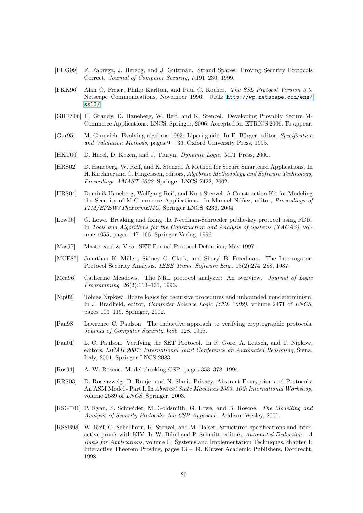- <span id="page-21-11"></span>[FHG99] F. F´abrega, J. Herzog, and J. Guttman. Strand Spaces: Proving Security Protocols Correct. Journal of Computer Security, 7:191–230, 1999.
- <span id="page-21-1"></span>[FKK96] Alan O. Freier, Philip Karlton, and Paul C. Kocher. The SSL Protocol Version 3.0. Netscape Communications, November 1996. URL: [http://wp.netscape.com/eng/](http://wp.netscape.com/eng/ssl3/) [ssl3/](http://wp.netscape.com/eng/ssl3/).
- <span id="page-21-7"></span>[GHRS06] H. Grandy, D. Haneberg, W. Reif, and K. Stenzel. Developing Provably Secure M-Commerce Applications. LNCS. Springer, 2006. Accepted for ETRICS 2006. To appear.
- <span id="page-21-0"></span>[Gur95] M. Gurevich. Evolving algebras 1993: Lipari guide. In E. Börger, editor, Specification and Validation Methods, pages 9 – 36. Oxford University Press, 1995.
- <span id="page-21-5"></span>[HKT00] D. Harel, D. Kozen, and J. Tiuryn. Dynamic Logic. MIT Press, 2000.
- <span id="page-21-6"></span>[HRS02] D. Haneberg, W. Reif, and K. Stenzel. A Method for Secure Smartcard Applications. In H. Kirchner and C. Ringeissen, editors, Algebraic Methodology and Software Technology, Proceedings AMAST 2002. Springer LNCS 2422, 2002.
- <span id="page-21-8"></span>[HRS04] Dominik Haneberg, Wolfgang Reif, and Kurt Stenzel. A Construction Kit for Modeling the Security of M-Commerce Applications. In Manuel Núñez, editor, *Proceedings of* ITM/EPEW/TheFormEMC, Springer LNCS 3236, 2004.
- <span id="page-21-3"></span>[Low96] G. Lowe. Breaking and fixing the Needham-Schroeder public-key protocol using FDR. In Tools and Algorithms for the Construction and Analysis of Systems (TACAS), volume 1055, pages 147–166. Springer-Verlag, 1996.
- <span id="page-21-2"></span>[Mas97] Mastercard & Visa. SET Formal Protocol Definition, May 1997.
- <span id="page-21-12"></span>[MCF87] Jonathan K. Millen, Sidney C. Clark, and Sheryl B. Freedman. The Interrogator: Protocol Security Analysis. IEEE Trans. Software Eng., 13(2):274–288, 1987.
- <span id="page-21-13"></span>[Mea96] Catherine Meadows. The NRL protocol analyzer: An overview. Journal of Logic Programming, 26(2):113–131, 1996.
- <span id="page-21-15"></span>[Nip02] Tobias Nipkow. Hoare logics for recursive procedures and unbounded nondeterminism. In J. Bradfield, editor, Computer Science Logic (CSL 2002), volume 2471 of LNCS, pages 103–119. Springer, 2002.
- <span id="page-21-4"></span>[Pau98] Lawrence C. Paulson. The inductive approach to verifying cryptographic protocols. Journal of Computer Security, 6:85–128, 1998.
- <span id="page-21-14"></span>[Pau01] L. C. Paulson. Verifying the SET Protocol. In R. Gore, A. Leitsch, and T. Nipkow, editors, IJCAR 2001: International Joint Conference on Automated Reasoning, Siena, Italy, 2001. Springer LNCS 2083.
- <span id="page-21-9"></span>[Ros94] A. W. Roscoe. Model-checking CSP. pages 353–378, 1994.
- <span id="page-21-17"></span>[RRS03] D. Rosenzweig, D. Runje, and N. Slani. Privacy, Abstract Encryption and Protocols: An ASM Model - Part I. In Abstract State Machines 2003. 10th International Workshop, volume 2589 of LNCS. Springer, 2003.
- <span id="page-21-10"></span>[RSG<sup>+</sup>01] P. Ryan, S. Schneider, M. Goldsmith, G. Lowe, and B. Roscoe. The Modelling and Analysis of Security Protocols: the CSP Approach. Addison-Wesley, 2001.
- <span id="page-21-16"></span>[RSSB98] W. Reif, G. Schellhorn, K. Stenzel, and M. Balser. Structured specifications and interactive proofs with KIV. In W. Bibel and P. Schmitt, editors, Automated Deduction—A Basis for Applications, volume II: Systems and Implementation Techniques, chapter 1: Interactive Theorem Proving, pages 13 – 39. Kluwer Academic Publishers, Dordrecht, 1998.